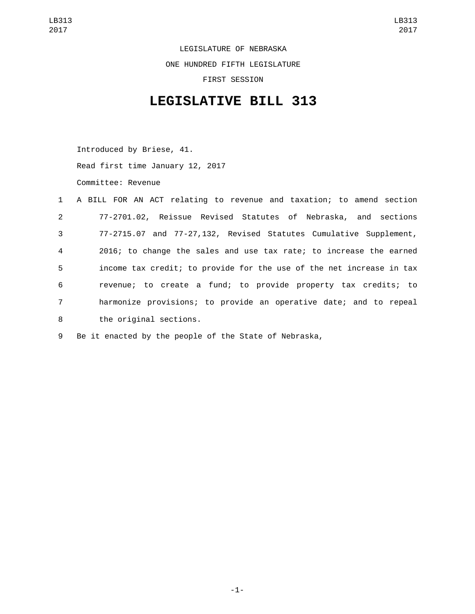LEGISLATURE OF NEBRASKA ONE HUNDRED FIFTH LEGISLATURE FIRST SESSION

## **LEGISLATIVE BILL 313**

Introduced by Briese, 41. Read first time January 12, 2017

Committee: Revenue

|                | 1 A BILL FOR AN ACT relating to revenue and taxation; to amend section |
|----------------|------------------------------------------------------------------------|
| $2^{\circ}$    | 77-2701.02, Reissue Revised Statutes of Nebraska, and sections         |
| 3 <sup>7</sup> | 77-2715.07 and 77-27,132, Revised Statutes Cumulative Supplement,      |
| $\overline{4}$ | 2016; to change the sales and use tax rate; to increase the earned     |
| 5              | income tax credit; to provide for the use of the net increase in tax   |
| 6              | revenue; to create a fund; to provide property tax credits; to         |
| $7^{\circ}$    | harmonize provisions; to provide an operative date; and to repeal      |
| 8              | the original sections.                                                 |

9 Be it enacted by the people of the State of Nebraska,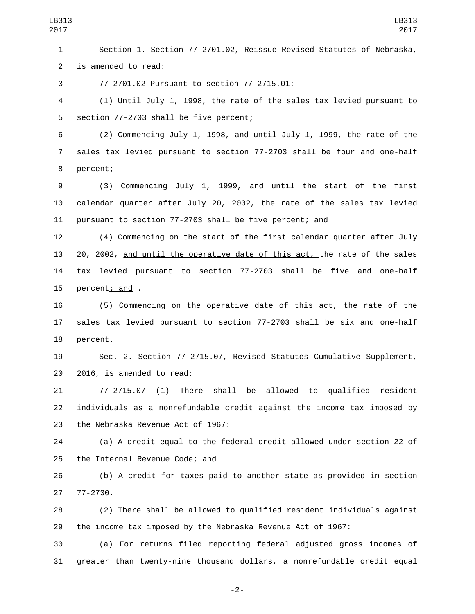Section 1. Section 77-2701.02, Reissue Revised Statutes of Nebraska, 2 is amended to read:

77-2701.02 Pursuant to section 77-2715.01:3

 (1) Until July 1, 1998, the rate of the sales tax levied pursuant to 5 section 77-2703 shall be five percent;

 (2) Commencing July 1, 1998, and until July 1, 1999, the rate of the sales tax levied pursuant to section 77-2703 shall be four and one-half 8 percent;

 (3) Commencing July 1, 1999, and until the start of the first calendar quarter after July 20, 2002, the rate of the sales tax levied 11 pursuant to section 77-2703 shall be five percent; and

 (4) Commencing on the start of the first calendar quarter after July 20, 2002, and until the operative date of this act, the rate of the sales tax levied pursuant to section 77-2703 shall be five and one-half 15 percent; and  $-$ 

 (5) Commencing on the operative date of this act, the rate of the sales tax levied pursuant to section 77-2703 shall be six and one-half 18 percent.

 Sec. 2. Section 77-2715.07, Revised Statutes Cumulative Supplement, 20 2016, is amended to read:

 77-2715.07 (1) There shall be allowed to qualified resident individuals as a nonrefundable credit against the income tax imposed by 23 the Nebraska Revenue Act of 1967:

 (a) A credit equal to the federal credit allowed under section 22 of 25 the Internal Revenue Code; and

 (b) A credit for taxes paid to another state as provided in section 27 77-2730.

 (2) There shall be allowed to qualified resident individuals against the income tax imposed by the Nebraska Revenue Act of 1967:

 (a) For returns filed reporting federal adjusted gross incomes of greater than twenty-nine thousand dollars, a nonrefundable credit equal

-2-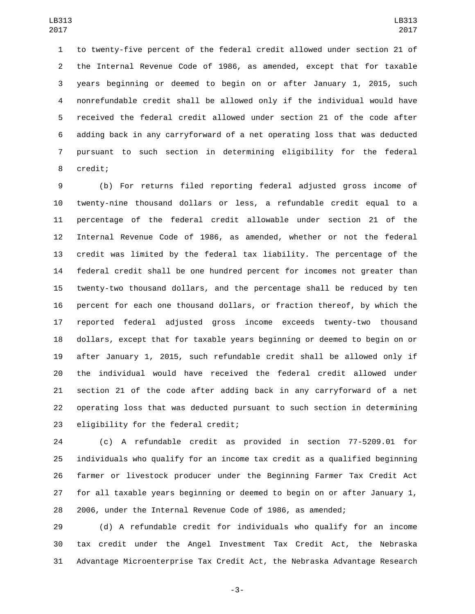to twenty-five percent of the federal credit allowed under section 21 of the Internal Revenue Code of 1986, as amended, except that for taxable years beginning or deemed to begin on or after January 1, 2015, such nonrefundable credit shall be allowed only if the individual would have received the federal credit allowed under section 21 of the code after adding back in any carryforward of a net operating loss that was deducted pursuant to such section in determining eligibility for the federal 8 credit;

 (b) For returns filed reporting federal adjusted gross income of twenty-nine thousand dollars or less, a refundable credit equal to a percentage of the federal credit allowable under section 21 of the Internal Revenue Code of 1986, as amended, whether or not the federal credit was limited by the federal tax liability. The percentage of the federal credit shall be one hundred percent for incomes not greater than twenty-two thousand dollars, and the percentage shall be reduced by ten percent for each one thousand dollars, or fraction thereof, by which the reported federal adjusted gross income exceeds twenty-two thousand dollars, except that for taxable years beginning or deemed to begin on or after January 1, 2015, such refundable credit shall be allowed only if the individual would have received the federal credit allowed under section 21 of the code after adding back in any carryforward of a net operating loss that was deducted pursuant to such section in determining 23 eligibility for the federal credit;

 (c) A refundable credit as provided in section 77-5209.01 for individuals who qualify for an income tax credit as a qualified beginning farmer or livestock producer under the Beginning Farmer Tax Credit Act for all taxable years beginning or deemed to begin on or after January 1, 2006, under the Internal Revenue Code of 1986, as amended;

 (d) A refundable credit for individuals who qualify for an income tax credit under the Angel Investment Tax Credit Act, the Nebraska Advantage Microenterprise Tax Credit Act, the Nebraska Advantage Research

-3-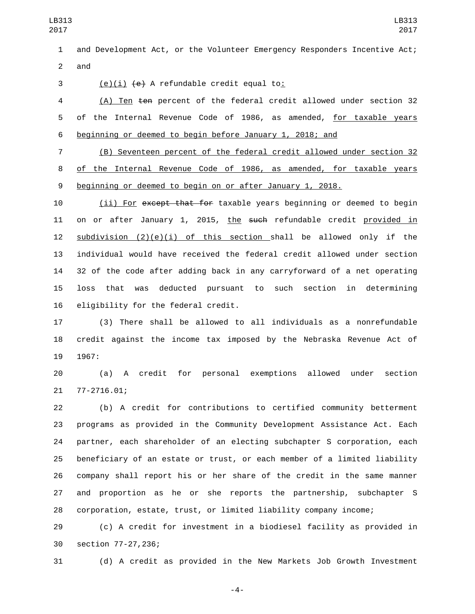and Development Act, or the Volunteer Emergency Responders Incentive Act; and

 $(e)(i)$   $\left\{\n e\right\}$  A refundable credit equal to:

 (A) Ten ten percent of the federal credit allowed under section 32 of the Internal Revenue Code of 1986, as amended, for taxable years beginning or deemed to begin before January 1, 2018; and

 (B) Seventeen percent of the federal credit allowed under section 32 of the Internal Revenue Code of 1986, as amended, for taxable years beginning or deemed to begin on or after January 1, 2018.

10 (ii) For except that for taxable years beginning or deemed to begin 11 on or after January 1, 2015, the such refundable credit provided in 12 subdivision  $(2)(e)(i)$  of this section shall be allowed only if the individual would have received the federal credit allowed under section 32 of the code after adding back in any carryforward of a net operating loss that was deducted pursuant to such section in determining 16 eligibility for the federal credit.

 (3) There shall be allowed to all individuals as a nonrefundable credit against the income tax imposed by the Nebraska Revenue Act of 1967:

 (a) A credit for personal exemptions allowed under section 21 77-2716.01;

 (b) A credit for contributions to certified community betterment programs as provided in the Community Development Assistance Act. Each partner, each shareholder of an electing subchapter S corporation, each beneficiary of an estate or trust, or each member of a limited liability company shall report his or her share of the credit in the same manner and proportion as he or she reports the partnership, subchapter S corporation, estate, trust, or limited liability company income;

 (c) A credit for investment in a biodiesel facility as provided in 30 section 77-27,236;

(d) A credit as provided in the New Markets Job Growth Investment

-4-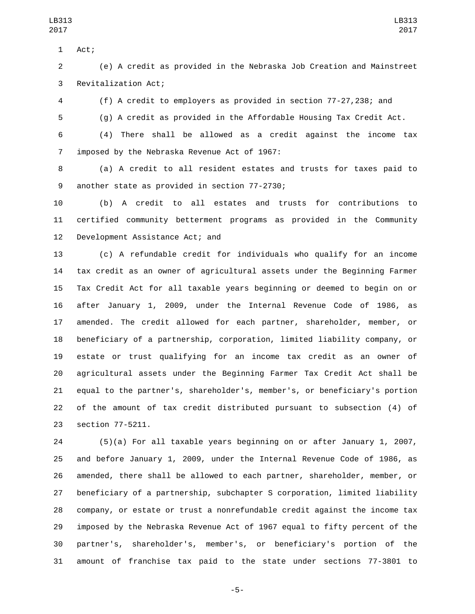1 Act;

 (e) A credit as provided in the Nebraska Job Creation and Mainstreet 3 Revitalization Act;

(f) A credit to employers as provided in section 77-27,238; and

(g) A credit as provided in the Affordable Housing Tax Credit Act.

 (4) There shall be allowed as a credit against the income tax 7 imposed by the Nebraska Revenue Act of 1967:

 (a) A credit to all resident estates and trusts for taxes paid to 9 another state as provided in section 77-2730;

 (b) A credit to all estates and trusts for contributions to certified community betterment programs as provided in the Community 12 Development Assistance Act; and

 (c) A refundable credit for individuals who qualify for an income tax credit as an owner of agricultural assets under the Beginning Farmer Tax Credit Act for all taxable years beginning or deemed to begin on or after January 1, 2009, under the Internal Revenue Code of 1986, as amended. The credit allowed for each partner, shareholder, member, or beneficiary of a partnership, corporation, limited liability company, or estate or trust qualifying for an income tax credit as an owner of agricultural assets under the Beginning Farmer Tax Credit Act shall be equal to the partner's, shareholder's, member's, or beneficiary's portion of the amount of tax credit distributed pursuant to subsection (4) of 23 section 77-5211.

 (5)(a) For all taxable years beginning on or after January 1, 2007, and before January 1, 2009, under the Internal Revenue Code of 1986, as amended, there shall be allowed to each partner, shareholder, member, or beneficiary of a partnership, subchapter S corporation, limited liability company, or estate or trust a nonrefundable credit against the income tax imposed by the Nebraska Revenue Act of 1967 equal to fifty percent of the partner's, shareholder's, member's, or beneficiary's portion of the amount of franchise tax paid to the state under sections 77-3801 to

-5-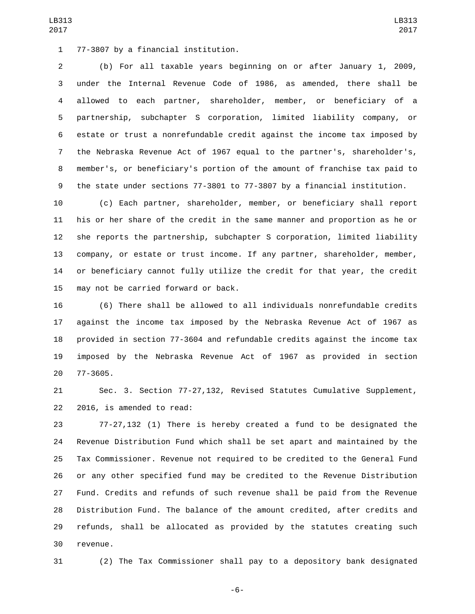77-3807 by a financial institution.1

 (b) For all taxable years beginning on or after January 1, 2009, under the Internal Revenue Code of 1986, as amended, there shall be allowed to each partner, shareholder, member, or beneficiary of a partnership, subchapter S corporation, limited liability company, or estate or trust a nonrefundable credit against the income tax imposed by the Nebraska Revenue Act of 1967 equal to the partner's, shareholder's, member's, or beneficiary's portion of the amount of franchise tax paid to the state under sections 77-3801 to 77-3807 by a financial institution.

 (c) Each partner, shareholder, member, or beneficiary shall report his or her share of the credit in the same manner and proportion as he or she reports the partnership, subchapter S corporation, limited liability company, or estate or trust income. If any partner, shareholder, member, or beneficiary cannot fully utilize the credit for that year, the credit 15 may not be carried forward or back.

 (6) There shall be allowed to all individuals nonrefundable credits against the income tax imposed by the Nebraska Revenue Act of 1967 as provided in section 77-3604 and refundable credits against the income tax imposed by the Nebraska Revenue Act of 1967 as provided in section 20 77-3605.

 Sec. 3. Section 77-27,132, Revised Statutes Cumulative Supplement, 22 2016, is amended to read:

 77-27,132 (1) There is hereby created a fund to be designated the Revenue Distribution Fund which shall be set apart and maintained by the Tax Commissioner. Revenue not required to be credited to the General Fund or any other specified fund may be credited to the Revenue Distribution Fund. Credits and refunds of such revenue shall be paid from the Revenue Distribution Fund. The balance of the amount credited, after credits and refunds, shall be allocated as provided by the statutes creating such 30 revenue.

(2) The Tax Commissioner shall pay to a depository bank designated

-6-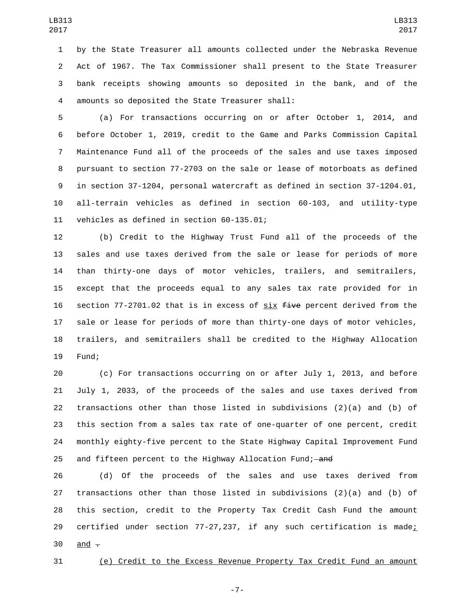by the State Treasurer all amounts collected under the Nebraska Revenue Act of 1967. The Tax Commissioner shall present to the State Treasurer bank receipts showing amounts so deposited in the bank, and of the amounts so deposited the State Treasurer shall:4

 (a) For transactions occurring on or after October 1, 2014, and before October 1, 2019, credit to the Game and Parks Commission Capital Maintenance Fund all of the proceeds of the sales and use taxes imposed pursuant to section 77-2703 on the sale or lease of motorboats as defined in section 37-1204, personal watercraft as defined in section 37-1204.01, all-terrain vehicles as defined in section 60-103, and utility-type 11 vehicles as defined in section 60-135.01;

 (b) Credit to the Highway Trust Fund all of the proceeds of the sales and use taxes derived from the sale or lease for periods of more than thirty-one days of motor vehicles, trailers, and semitrailers, except that the proceeds equal to any sales tax rate provided for in 16 section 77-2701.02 that is in excess of  $six$  five percent derived from the sale or lease for periods of more than thirty-one days of motor vehicles, trailers, and semitrailers shall be credited to the Highway Allocation 19 Fund:

 (c) For transactions occurring on or after July 1, 2013, and before July 1, 2033, of the proceeds of the sales and use taxes derived from transactions other than those listed in subdivisions (2)(a) and (b) of this section from a sales tax rate of one-quarter of one percent, credit monthly eighty-five percent to the State Highway Capital Improvement Fund 25 and fifteen percent to the Highway Allocation Fund;—and

 (d) Of the proceeds of the sales and use taxes derived from transactions other than those listed in subdivisions (2)(a) and (b) of this section, credit to the Property Tax Credit Cash Fund the amount 29 certified under section 77-27,237, if any such certification is made; and  $-$ 

(e) Credit to the Excess Revenue Property Tax Credit Fund an amount

-7-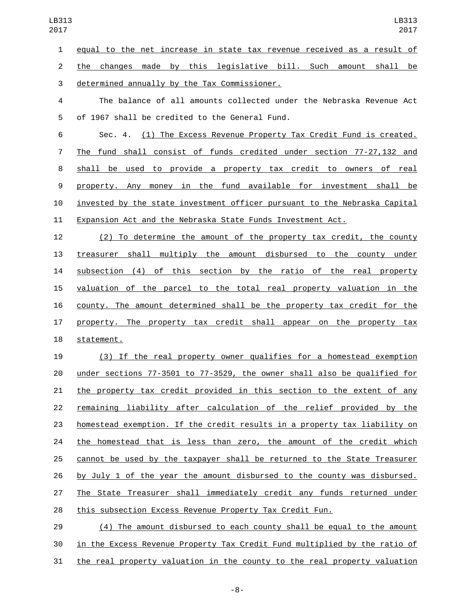equal to the net increase in state tax revenue received as a result of

 the changes made by this legislative bill. Such amount shall be 3 determined annually by the Tax Commissioner.

 The balance of all amounts collected under the Nebraska Revenue Act 5 of 1967 shall be credited to the General Fund.

 Sec. 4. (1) The Excess Revenue Property Tax Credit Fund is created. The fund shall consist of funds credited under section 77-27,132 and shall be used to provide a property tax credit to owners of real property. Any money in the fund available for investment shall be invested by the state investment officer pursuant to the Nebraska Capital Expansion Act and the Nebraska State Funds Investment Act.

 (2) To determine the amount of the property tax credit, the county treasurer shall multiply the amount disbursed to the county under subsection (4) of this section by the ratio of the real property valuation of the parcel to the total real property valuation in the county. The amount determined shall be the property tax credit for the 17 property. The property tax credit shall appear on the property tax 18 statement.

 (3) If the real property owner qualifies for a homestead exemption under sections 77-3501 to 77-3529, the owner shall also be qualified for the property tax credit provided in this section to the extent of any remaining liability after calculation of the relief provided by the homestead exemption. If the credit results in a property tax liability on 24 the homestead that is less than zero, the amount of the credit which cannot be used by the taxpayer shall be returned to the State Treasurer by July 1 of the year the amount disbursed to the county was disbursed. The State Treasurer shall immediately credit any funds returned under this subsection Excess Revenue Property Tax Credit Fun.

 (4) The amount disbursed to each county shall be equal to the amount in the Excess Revenue Property Tax Credit Fund multiplied by the ratio of the real property valuation in the county to the real property valuation